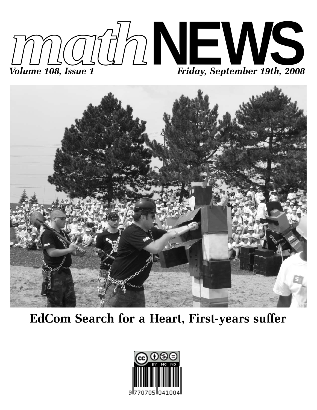



**EdCom Search for a Heart, First-years suffer**

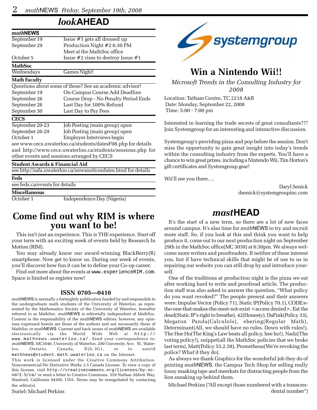### *look***AHEAD**

| mathNEWS                                  |                                                                |
|-------------------------------------------|----------------------------------------------------------------|
| September 19                              | Issue #1 gets all dressed up                                   |
| September 29                              | Production Night #2 6:30 PM                                    |
|                                           | Meet at the MathSoc office                                     |
| October 5                                 | Issue $#2$ rises to destroy Issue $#1$                         |
| <b>MathSoc</b>                            |                                                                |
| Wednesdays                                | Games Night!                                                   |
| <b>Math Faculty</b>                       |                                                                |
|                                           | Questions about some of these? See an academic advisor!        |
| September 19                              | On-Campus Course Add Deadline                                  |
| September 26                              | Course Drop - No Penalty Period Ends                           |
| September 26                              | Last Day for 100% Refund                                       |
| September 30                              | Last Day to Pay Fees                                           |
| <b>CECS</b>                               |                                                                |
| September 20-23                           | Job Posting (main group) open                                  |
| September 26-29                           | Job Posting (main group) open                                  |
| October 1                                 | Employer Interviews begin                                      |
|                                           | see www.cecs.uwaterloo.ca/students/datesF08.php for details    |
|                                           | and http://www.cecs.uwaterloo.ca/students/sessions.php for     |
|                                           | other events and sessions arranged by CECS                     |
| <b>Student Awards &amp; Financial Aid</b> |                                                                |
|                                           | see http://safa.uwaterloo.ca/newsnoticesdates.html for details |
| Feds                                      |                                                                |
| see feds.ca/events for details            |                                                                |
| <b>Miscellaneous</b>                      |                                                                |
| October 1                                 | Independence Day (Nigeria)                                     |

# **Come find out why RIM is where you want to be!**

This isn't just an experience. This is THE experience. Start off your term with an exciting week of events held by Research In Motion (RIM).

You may already know our award-winning BlackBerry(R) smartphone. Now get to know us. During our week of events, you'll discover how fun it can be to define your Co-op career.

Find out more about the events at www.experienceRIM.com. Space is limited so register now!

#### **ISSN 0705—0410**

*math*NEWS is normally a fortnightly publication funded by and responsible to the undergraduate math students of the University of Waterloo, as represented by the Mathematics Society of the University of Waterloo, hereafter referred to as MathSoc. *math*NEWS is editorially independent of MathSoc. Content is the responsibility of the *math*NEWS editors; however, any opinions expressed herein are those of the authors and not necessarily those of MathSoc or *math*NEWS. Current and back issues of *math*NEWS are available electronically via the World Wide Web at http:// www.mathnews.uwaterloo.ca/. Send your correspondence to: *math*NEWS, MC3046, University of Waterloo, 200 University Ave. W., Waterloo, Ontario, Canada, N2L 3G1, or to userid mathnews@student.math.uwaterloo.ca on the Internet.

This work is licensed under the Creative Commons Attribution-Noncommercial-No Derivative Works 2.5 Canada License. To view a copy of this license, visit http://creativecommons.org/licenses/by-ncnd/2.5/ca/ or send a letter to Creative Commons, 559 Nathan Abbott Way, Stanford, California 94305, USA. Terms may be renegotiated by contacting the editor(s).

Suriel: Michael Perkins



# **Win a Nintendo Wii!!**

*Microsoft Trends in the Consulting Industry for 2008*

Location: Tatham Centre, TC 2218 A&B Date: Monday, September 22, 2008 Time: 5:00 - 7:00 pm

Interested in learning the trade secrets of great consultants??? Join Systemgroup for an interesting and interactive discussion.

Systemgroup's providing pizza and pop before the session. Don't miss the opportunity to gain great insight into today's trends within the consulting industry from the experts. You'll have a chance to win great prizes, including a Nintendo Wii, Tim Horton's gift certificates and Systemgroup gear!

Wii'll see you there….

Daryl Senick dsenick@systemgroupinc.com

### *mast***HEAD**

It's the start of a new term, so there are a lot of new faces around campus. It's also time for *math*NEWS to try and recruit more staff. So, if you look at this and think you want to help produce it, come out to our next production night on September 29th in the MathSoc office(MC 3038) at 6:30pm. We always welcome more writers and proofreaders. If neither of these interest you, but if have technical skills that might be of use to us in repairing our website you can still drop by and introduce yourself.

One of the traditions at production night is the pizza we eat after working hard to write and proofread article. The production staff was also asked to answer the question, "What policy do you want revoked?" The people present and their answers were: Impulse Vector (Policy 71), Static IP(Policy 70.1), CODE:ethe-one-that-makes-the-mest-not-exist <access denied>, Eat the dead(Static IP's right to breathe), 42(Honesty), DaFink(Policy 33), Megaton Panda(Calculols), ebering(Regular Math), Determinant(All, we should have no rules. Down with rules!), The Hee Ho(The King's Law beats all policy, hee ho!), Nadz(The voting policy!), snippet(all the MathSoc policies that we broke last term), Matt(Policy 53.2.58), Prometheus(We're revoking the police? What'd they do).

As always we thank Graphics for the wonderful job they do of printing *math*NEWS, the Campus Tech Shop for selling really lousy masking tape and meerkats for distracting people from the lion sneaking up behind them.

Michael Perkins ("All except those numbered with a transcendental number")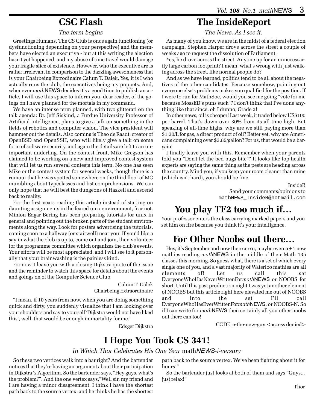### **CSC Flash**

#### *The term begins*

Greetings Humans. The CS Club is once again functioning (or dysfunctioning depending on your perspective) and the members have elected an executive - but at this writing the election hasn't yet happened, and my abuse of time travel would damage your fragile slice of existence. However, who the executive are is rather irrelevant in comparison to the dazzling awesomeness that is your Chairbeing Extrodinaire Calum T. Dalek. Yes, it is I who actually runs the club, the executives being my puppets. And, whenever *math*NEWS decides it's a good time to publish an article, I will use this space to inform you, dear reader, of the goings on I have planned for the mortals in my command.

We have an intense term planned, with two glitterati on the talk agenda: Dr. Jeff Siskind, a Purdue University Professor of Artificial Intelligence, plans to give a talk on something in the fields of robotics and computer vision. The vice president will hammer out the details. Also coming is Theo de Raadt, creator of OpenBSD and OpenSSH, who will likely give a talk on some form of software security, and again the details are left to an unimportant underling. On the contest front, Mike Gregson has claimed to be working on a new and improved contest system that will let us run several contests this term. No one has seen Mike or the contest system for several weeks, though there is a rumour that he was spotted somewhere on the third floor of MC mumbling about typeclasses and list comprehensions. We can only hope that he will best the dungeons of Haskell and ascend back to reality.

For the first years reading this article instead of starting on daunting assignments in the feared unix environment, fear not. Minion Edgar Bering has been preparing tutorials for unix in general and pointing out the broken parts of the student environments along the way. Look for posters advertising the tutorials, coming soon to a hallway (or stairwell) near you! If you'd like a say in what the club is up to, come out and join, then volunteer for the programme committee which organizes the club's events. Your efforts will be most appreciated, and I will see to it personally that your brainwashing is the painless kind.

For now, I leave you with a closing Dijkstra quote of the issue and the reminder to watch this space for details about the events and goings on of the Computer Science Club.

> Calum T. Dalek Chairbeing Extraordinaire

"I mean, if 10 years from now, when you are doing something quick and dirty, you suddenly visualize that I am looking over your shoulders and say to yourself 'Dijkstra would not have liked this', well, that would be enough immortality for me."

Edsger Dijkstra

# **The InsideReport**

*The News. As I see it.*

As many of you know, we are in the midst of a federal election campaign. Stephen Harper drove across the street a couple of weeks ago to request the dissolution of Parliament.

Yes, he drove across the street. Anyone up for an unnecessarily large carbon footprint? I mean, what's wrong with just walking across the street, like normal people do?

And as we have learned, politics tend to be all about the negatives of the other candidates. Because somehow, pointing out everyone else's problems makes you qualified for the position. If I were to run for MathSoc, would you see me going "vote for me because MossED's puns suck"? I don't think that I've done anything like that since, oh I dunno, Grade 2!

In other news, oil is cheaper! Last week, it traded below US\$100 per barrel. That's down over 30% from its all-time high. But speaking of all-time highs, why are we still paying more than \$1.30/L for gas, a direct product of oil? Better yet, why are Americans complaining over \$3.85/gallon? For us, that would be a bargain!

I finally leave you with this. Remember when your parents told you "Don't let the bed bugs bite"? It looks like top health experts are saying the same thing as the pests are heading across the country. Mind you, if you keep your room cleaner than mine (which isn't hard), you should be fine.

> InsideR Send your comments/opinions to mathNEWS\_InsideR@hotmail.com

# **You play TF2 too much if…**

Your professor enters the class carrying marked papers and you set him on fire because you think it's your intelligence.

### **For Other Noobs out there…**

Hey, it's September and now there are n, maybe even n+1 new mathies reading *math*NEWS in the middle of their Math 135 classes this morning. So guess what, there is a set of which every single one of you, and a vast majority of Waterloo mathies are all elements of! Let us call this set EveryoneWhoHasNeverWrittenFor*math*NEWS or NOOBS for short. Until this past production night I was yet another element of NOOBS but this article right here elevated me out of NOOBS and into the set I'll call EveryoneWhoHasEverWrittenFor*math*NEWS, or NOOBS-N. So if I can write for *math*NEWS then certainly all you other noobs out there can too!

CODE: e-the-new-guy <access denied>

# **I Hope You Took CS 341!**

#### *In Which Thor Celebrates His One Year* math*NEWS-i-versary*

So these two vertices walk into a bar right? And the bartender notices that they're having an argument about their participation in Dijkstra 's Algorithm. So the bartender says, "Hey guys, what's the problem?". And the one vertex says,"Well sir, my friend and I are having a minor disagreement. I think I have the shortest path back to the source vertex, and he thinks he has the shortest path back to the source vertex. We've been fighting about it for hours!"

So the bartender just looks at both of them and says "Guys... just relax!"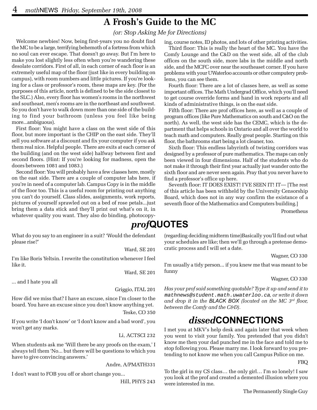# **A Frosh's Guide to the MC**

*(or: Stop Asking Me for Directions)*

Welcome newbies! Now, being first-years you no doubt find the MC to be a large, terrifying behemoth of a fortress from which no soul can ever escape. That doesn't go away. But I'm here to make you lost slightly less often when you're wandering these desolate corridors. First of all, in each corner of each floor is an extremely useful map of the floor (just like in every building on campus), with room numbers and little pictures. If you're looking for a class or professor's room, these maps are key. (For the purposes of this article, north is defined to be the side closest to the SLC.) Also, every floor has women's rooms in the northwest and southeast, men's rooms are in the northeast and southwest. So you don't have to walk down more than one side of the building to find your bathroom (unless you feel like being more...ambiguous).

First floor: You might have a class on the west side of this floor, but more important is the CHIP on the east side. They'll sell you software at a discount and fix your computer if you ask them real nice. Helpful people. There are exits at each corner of the building (and on the west side) halfway between first and second floors. (Hint: If you're looking for madness, open the doors between 1081 and 1083.)

Second floor: You will probably have a few classes here, mostly on the east side. There are a couple of computer labs here, if you're in need of a computer lab. Campus Copy is in the middle of the floor too. This is a useful room for printing out anything you can't do yourself. Class slides, assignments, work reports, pictures of yourself sprawled out on a bed of rose petals...just bring them a data stick and they'll print out what's on it, in whatever quality you want. They also do binding, photocopy-

What do you say to an engineer in a suit? 'Would the defendant please rise?'

Ward, SE 201

I'm like Boris Yeltsin. I rewrite the constitution whenever I feel like it.

Ward, SE 201

... and I hate you all

Griggio, ITAL 201

How did we miss that? I have an excuse, since I'm closer to the board. You have an excuse since you don't know anything yet. Teske, CO 350

If you write 'I don't know' or 'I don't know and a bad word', you won't get any marks.

Li, ACTSCI 232

When students ask me 'Will there be any proofs on the exam,' I always tell them 'No... but there will be questions to which you have to give convincing answers.'

Andre, A/PMATH331

I don't want to FOB you off or short change you...

Hill, PHYS 243

ing, course notes, ID photos, and lots of other printing activities.

Third floor: This is really the heart of the MC. You have the Comfy Lounge and the C&D on the west side, all of the club offices on the south side, more labs in the middle and north side, and the MCFC over near the southeaset corner. If you have problems with your UWaterloo accounts or other computery problems, you can see them.

Fourth floor: There are a lot of classes here, as well as some important offices. The Math Undergrad Office, which you'll need to get course override forms and hand in work reports and all kinds of administrative things, is on the east side.

Fifth floor: There are prof offices here, as well as a couple of program offices (like Pure Mathematics on south and C&O on the north). As well, the west side has the CEMC, which is the department that helps schools in Ontario and all over the world to teach math and computers. Really great people. Starting on this floor, the bathrooms start being a lot cleaner, too.

Sixth floor: This endless labyrinth of twisting corridors was designed by a professor of pure mathematics. The maps can only been viewed in four dimensions. Half of the students who do not make it through their first year actually just wander onto the sixth floor and are never seen again. Pray that you never have to find a professor's office up here.

Seventh floor: IT DOES EXIST! I'VE SEEN IT! IT— [The rest of this article has been withheld by the University Censorship Board, which does not in any way confirm the existance of a seventh floor of the Mathematics and Computers building.]

Prometheus

### *prof***QUOTES**

(regarding deciding midterm time)Basically you'll find out what your schedules are like; then we'll go through a pretense democratic process and I will set a date.

Wagner, CO 330

I'm usually a tidy person... if you knew me that was meant to be funny

Wagner, CO 330

*Has your prof said something quotable? Type it up and send it to* mathnews@student.math.uwaterloo.ca*, or write it down and drop it in the BLACK BOX (located on the MC 3rd floor, between the Comfy and the C&D).*

### *dissed***CONNECTIONS**

I met you at MKV's help desk and again later that week when you went to visit your family. You pretended that you didn't know me then your dad punched me in the face and told me to stop following you. Please marry me. I look forward to you pretending to not know me when you call Campus Police on me.

To the girl in my CS class… the only girl… I'm so lonely! I saw you look at the prof and created a demented illusion where you were interested in me.

FBQ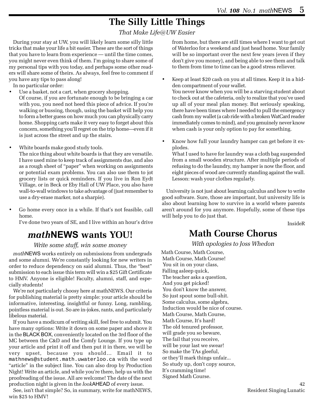# **The Silly Little Things**

*That Make Life@UW Easier*

During your stay at UW, you will likely learn some silly little tricks that make your life a bit easier. These are the sort of things that you have to learn from experience — until the time comes, you might never even think of them. I'm going to share some of my personal tips with you today, and perhaps some other readers will share some of theirs. As always, feel free to comment if you have any tips to pass along!

In no particular order:

- Use a basket, not a cart, when grocery shopping. Of course, if you are fortunate enough to be bringing a car with you, you need not heed this piece of advice. If you're walking or bussing, though, using the basket will help you to form a better guess on how much you can physically carry home. Shopping carts make it very easy to forget about this concern, something you'll regret on the trip home—even if it is just across the street and up the stairs.
- White boards make good study tools.

The nice thing about white boards is that they are versatile. I have used mine to keep track of assignments due, and also as a rough sheet of "paper" when working on assignments or potential exam problems. You can also use them to jot grocery lists or quick reminders. If you live in Ron Eydt Village, or in Beck or Eby Hall of UW Place, you also have wall-to-wall windows to take advantage of (just remember to use a dry-erase marker, not a sharpie).

• Go home every once in a while. If that's not feasible, call home.

I've done two years of SE, and I live within an hour's drive

### *math***NEWS wants YOU!**

#### *Write some stuff, win some money*

*math*NEWS works entirely on submissions from undergrads and some alumni. We're constantly looking for new writers in order to reduce dependency on said alumni. Thus, the "best" submission to each issue this term will win a \$25 Gift Certificate to HMV. Anyone is eligible! Faculty, alumni, staff, and especially students!

We're not particularly choosy here at mathNEWS. Our criteria for publishing material is pretty simple: your article should be informative, interesting, insightful or funny. Long, rambling, pointless material is out. So are in-jokes, rants, and particularly libelous material.

If you have a modicum of writing skill, feel free to submit. You have many options: Write it down on some paper and shove it in the BLACK BOX, conveniently located on the 3rd floor of the MC between the C&D and the Comfy Lounge. If you type up your article and print it off and then put it in there, we will be very upset, because you should… Email it to mathnews@student.math.uwaterloo.ca with the word "article" in the subject line. You can also drop by Production Night! Write an article, and while you're there, help us with the proofreading of the issue. All are welcome! The date of the next production night is given in the *look*AHEAD of every issue.

See, isn't that simple? So, in summary, write for mathNEWS, win \$25 to HMV!

from home, but there are still times where I want to get out of Waterloo for a weekend and just head home. Your family will be so important over the next few years (even if they don't give you money), and being able to see them and talk to them from time to time can be a good stress reliever.

• Keep at least \$20 cash on you at all times. Keep it in a hidden compartment of your wallet.

You never know when you will be a starving student about to check out at the cafeteria, only to realize that you've used up all of your meal plan money. But seriously speaking, there have been times where I needed to pull the emergency cash from my wallet (a cab ride with a broken WatCard reader immediately comes to mind), and you genuinely never know when cash is your only option to pay for something.

• Know how full your laundry hamper can get before it explodes.

What I used to have for laundry was a cloth bag suspended from a small wooden structure. After multiple periods of refusing to do the laundry, my hamper is now the floor, and eight pieces of wood are currently standing against the wall. Lesson: wash your clothes regularly.

University is not just about learning calculus and how to write good software. Sure, those are important, but university life is also about learning how to survive in a world where parents aren't around for you anymore. Hopefully, some of these tips will help you to do just that.

InsideR

# **Math Course Chorus**

*With apologies to Joss Whedon*

Math Course, Math Course, Math Course, Math Course! You sit in on your class, Falling asleep quick, The teacher asks a question, And you get picked! You don't know the answer, So just spout some bull-shit. Some calculus, some algebra, Induction would be nice of course. Math Course, Math Course, Math Course, It's hard! The old tenured professor, will grade you so beware, The fail that you receive, will be your last we swear! So make the TAs gleeful, or they'll mark things unfair... So study up, don't copy source, It's cramming time! Signed Math Course.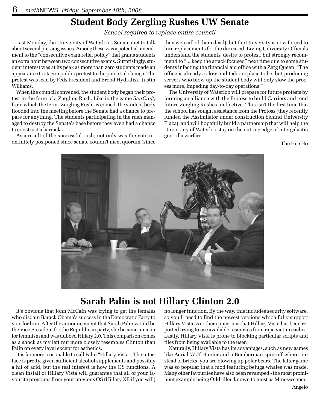### **Student Body Zergling Rushes UW Senate**

*School required to replace entire council*

Last Monday, the University of Waterloo's Senate met to talk about several pressing issues. Among these was a potential amendment to the "consecutive exam relief policy" that grants students an extra hour between two consectutive exams. Surprisingly, student interest was at its peak as more than zero students made an appearance to stage a public protest to the potential change. The protest was lead by Feds President and Brood Hydralisk, Justin Williams.

When the council convened, the student body began their protest in the form of a Zergling Rush. Like in the game *StarCraft*, from which the term "Zergling Rush" is coined, the student body flooded into the meeting before the Senate had a chance to prepare for anything. The students participating in the rush managed to destroy the Senate's base before they even had a chance to construct a barracks.

As a result of the successful rush, not only was the vote indefinitely postponed since senate couldn't meet quorum (since

they were all of them dead), but the University is now forced to hire replacements for the deceased. Living University Officials understand the students' desire to protest, but strongly recommend to "... keep the attack focused" next time due to some students infecting the financial aid office with a Zerg Queen. "The office is already a slow and tedious place to be, but producing servers who blow up the student body will only slow the process more, impeding day-to-day operations."

The University of Waterloo will prepare for future protests by forming an alliance with the Protoss to build Carriers and rend future Zergling Rushes ineffective. This isn't the first time that the school has sought assistance from the Protoss (they recently funded the Assimilator under construction behind University Plaza), and will hopefully build a partnership that will help the University of Waterloo stay on the cutting edge of intergalactic guerrilla warfare.

The Hee Ho



### **Sarah Palin is not Hillary Clinton 2.0**

It's obvious that John McCain was trying to get the females who disdain Barack Obama's success in the Democratic Party to vote for him. After the announcement that Sarah Palin would be the Vice President for the Republican party, she became an icon for feminism and was dubbed Hillary 2.0. This comparison comes as a shock as my left nut more closely resembles Clinton than Palin on every level except for asthetics.

It is far more reasonable to call Palin "Hillary Vista". The interface is pretty, given sufficient alcohol supplements and possibly a hit of acid, but the real interest is how the OS functions. A clean install of Hillary Vista will guarantee that all of your favourite programs from your previous OS (Hillary XP, if you will) no longer function. By the way, this includes security software, so you'll need to find the newest versions which fully support Hillary Vista. Another concern is that Hillary Vista has been reported trying to use available resources from rape victim caches. Lastly, Hillary Vista is prone to blocking particular scripts and files from being available to the user.

Naturally, Hillary Vista has its advantages, such as new games like Aerial Wolf Hunter and a Bomberman spin-off where, instead of bricks, you are blowing up polar bears. The latter game was so popular that a mod featuring beluga whales was made. Many other favourites have also been revamped - the most prominent example being Oildriller, known to most as Minesweeper.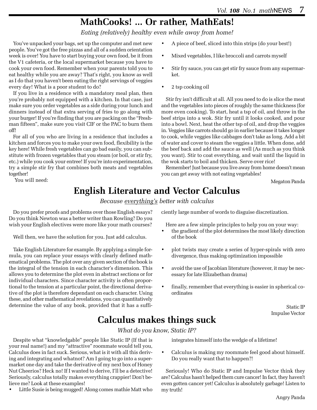# **MathCooks! ... Or rather, MathEats!**

*Eating (relatively) healthy even while away from home!*

You've unpacked your bags, set up the computer and met new people. You've got the free pizzas and all of a sudden orientation week is over! You have to start buying your own food, be it from the V1 cafeteria, or the local supermarket because you have to cook your own food. Remember when your parents told you to eat healthy while you are away? That's right, you know as well as I do that you haven't been eating the right servings of veggies every day! What is a poor student to do?

If you live in a residence with a mandatory meal plan, then you're probably not equipped with a kitchen. In that case, just make sure you order vegetables as a side during your lunch and dinners instead of that extra serving of fries to go along with your burger! If you're finding that you are packing on the "Freshman fifteen", make sure you visit CIF or the PAC to burn them off!

For all of you who are living in a residence that includes a kitchen and forces you to make your own food, flexibility is the key here! While fresh vegetables can go bad easily, you can substitute with frozen vegetables that you steam (or boil, or stir fry, etc.) while you cook your entree! If you're into experimentation, try a simple stir fry that combines both meats and vegetables together!

You will need:

- A piece of beef, sliced into thin strips (do your best!)
- Mixed vegetables, I like broccoli and carrots myself
- Stir fry sauce, you can get stir fry sauce from any supermarket.
- 2 tsp cooking oil

Stir fry isn't difficult at all. All you need to do is slice the meat and the vegetables into pieces of roughly the same thickness (for more even cooking). To start, heat a tsp of oil, and throw in the beef strips into a wok. Stir fry until it looks cooked, and pour into a bowl. Next, heat the other tsp of oil, and drop the veggies in. Veggies like carrots should go in earlier because it takes longer to cook, while veggies like cabbages don't take as long. Add a bit of water and cover to steam the veggies a little. When done, add the beef back and add the sauce as well (As much as you think you want). Stir to coat everything, and wait until the liquid in the wok starts to boil and thicken. Serve over rice!

Remember! Just because you live away from home doesn't mean you can get away with not eating vegetables!

Megaton Panda

### **English Literature and Vector Calculus**

*Because everything's better with calculus*

Do you prefer proofs and problems over those English essays? Do you think Newton was a better writer than Rowling? Do you wish your English electives were more like your math courses?

Well then, we have the solution for you. Just add calculus.

Take English Literature for example. By applying a simple formula, you can replace your essays with clearly defined mathematical problems. The plot over any given section of the book is the integral of the tension in each character's dimension. This allows you to determine the plot even in abstract sections or for individual characters. Since character activity is often proportional to the tension at a particular point, the directional derivative of the plot is therefore dependant on each character. Using these, and other mathematical revelations, you can quantitatively determine the value of any book, provided that it has a sufficiently large number of words to disguise discretization.

Here are a few simple principles to help you on your way:

- the gradient of the plot determines the most likely direction of the book
- plot twists may create a series of hyper-spirals with zero divergence, thus making optimization impossible
- avoid the use of Jacobian literature (however, it may be necessary for late Elizabethan drama)
- finally, remember that everything is easier in spherical coordinates

Static IP Impulse Vector

### **Calculus makes things suck**

*What do you know, Static IP?*

Despite what "knowledgable" people like Static IP (If that is your real name!) and my "attractive" roommate would tell you, Calculus does in fact suck. Serious, what is it with all this deriving and integrating and whatnot? Am I going to go into a supermarket one day and take the derivative of my next box of Honey Nut Cheerios? Heck no! If I wanted to derive, I'll be a detective! Seriously, calculus totally makes everything crappier! Don't believe me? Look at these examples!

• Little Susie is being mugged! Along comes mathie Matt who

integrates himself into the wedgie of a lifetime!

• Calculus is making my roommate feel good about himself. Do you really want that to happen?!

Seriously! Who do Static IP and Impulse Vector think they are? Calculus hasn't helped them cure cancer! In fact, they haven't even gotten cancer yet! Calculus is absolutely garbage! Listen to my truth!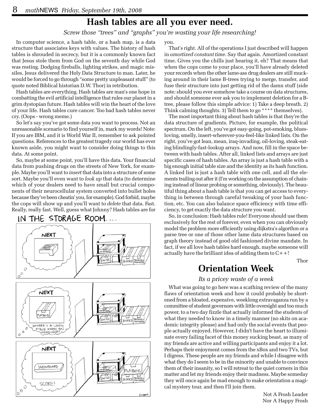### **Hash tables are all you ever need.**

*Screw those "trees" and "graphs" you're wasting your life researching!*

In computer science, a hash table, or a hash map, is a data structure that associates keys with values. The history of hash tables is shrouded in secrecy, but it is a commonly known fact that Jesus stole them from God on the seventh day while God was resting. Dodging fireballs, lighting strikes, and magic missiles, Jesus delivered the Holy Data Structure to man. Later, he would be forced to go through "some pretty unpleasant stuff" (to quote noted Biblical historian D.W. Thor) in retribution.

Hash tables are everything. Hash tables are man's one hope in combatting the evil artificial intelligence that rules our planet in a grim dystopian future. Hash tables will win the heart of the love of your life. Hash tables cure cancer. Too bad hash tables never cry. (Oops - wrong meme.)

So let's say you've got some data you want to process. Not an unreasonable scenario to find yourself in, mark my words! Note: If you are IBM, and it is World War II, remember to ask pointed questions. References to the greatest tragedy our world has ever known aside, you might want to consider doing things to this data. At some point.

So, maybe at some point, you'll have this data. Your financial data from pushing drugs on the streets of New York, for example. Maybe you'll want to *insert* that data into a structure of some sort. Maybe you'll even want to *look up* that data (to determine which of your dealers need to have small but crucial components of their neurocellular system converted into bullet holes because they've been cheatin' you, for example). God forbid, maybe the cops will show up and you'll want to *delete* that data. Fast. Really, really fast. Well, guess what Johnny? Hash tables are for



you.

That's right. All of the operations I just described will happen in *amortized constant time*. Say that again. Amortized constant time. Gives you the chills just hearing it, eh? That means that when the cops come to your place, you'll have already deleted your records when the other lame-ass drug dealers are still mucking around in their lame B-trees trying to merge, transfer, and fuse their structure into just getting rid of the damn stuff (side note: should you ever somehow take a course on data structures, and should someone ever ask you to implement deletion for a Btree, please follow this simple advice: 1) Take a deep breath. 2) Think calming thoughts. 3) Tell them to go \*\*\*\* themselves).

The most important thing about hash tables is that they're the data structure of gradients. Picture, for example, the political spectrum. On the left, you've got easy-going, pot-smoking, bluesloving, smelly, insert-wherever-you-feel-like linked lists. On the right, you've got lean, mean, iraq-invading, oil-loving, steak-eating blindingly-fast-lookup arrays. And now, fill in the space between with hash tables. After all, linked lists and arrays are just specific cases of hash tables. An array is just a hash table with a big enough initial table size and the identity as its hash function. A linked list is just a hash table with one cell, and all the elements trailing out after it (I'm working on the assumption of chaining instead of linear probing or something, obviously). The beautiful thing about a hash table is that you can get access to everything in between through careful tweaking of your hash function, etc. You can also balance space efficiency with time efficiency, to get exactly the data structure you want.

So, in conclusion: Hash tables rule! Everyone should use them exclusively for the rest of forever, even when you can obviously model the problem more efficiently using dijkstra's algorthm or a parse tree or one of those other lame data structures based on graph theory instead of good old fashioned divine mandate. In fact, if we all love hash tables hard enough, maybe someone will actually have the brilliant idea of adding them to  $C++!$ 

Thor

### **Orientation Week**

#### *Its a pricey waste of a week*

What was going to go here was a scathing review of the many flaws of orientation week and how it could probably be shortened from a bloated, expensive, weeklong extravaganza run by a committee of student governors with little oversight and too much power, to a two day fizzle that actually informed the students of what they needed to know in a timely manner (no skits on academic integrity please) and had only the social events that people actually enjoyed. However, I didn't have the heart to illuminate every failing facet of this money sucking beast, as many of my friends are active and willing participants and enjoy it a lot. Perhaps their enjoyment comes from the xBox and two TVs, but I digress. These people are my friends and while I disagree with what they do I seem to be in the minority and unable to convince them of their insanity, so I will retreat to the quiet corners in this matter and let my friends enjoy their madness. Maybe someday they will once again be mad enough to make orientation a magical mystery tour, and then I'll join them.

> Not A Frosh Leader Nor A Happy Frosh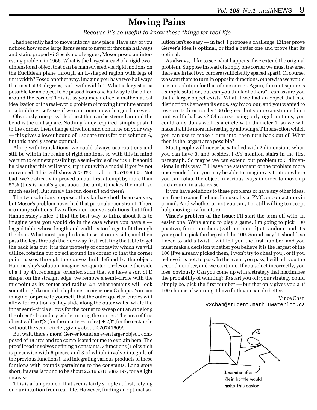### **Moving Pains**

#### *Because it's so useful to know these things for real life*

I had recently had to move into my new place. Have any of you noticed how some large items seem to never fit through hallways and stairs properly? Speaking of segues, Moser posed an interesting problem in 1966. What is the largest area *A* of a rigid two– dimensional object that can be maneuvered via rigid motions on the Euclidean plane through an L–shaped region with legs of unit width? Posed another way, imagine you have two hallways that meet at 90 degrees, each with width 1. What is largest area possible for an object to be passed from one hallway to the other, around the corner? This is, as you may notice, a mathematical idealization of the real–world problem of moving furniture around in a building. Let's see if we can come up with a good answer.

Obviously, one possible object that can be steered around the bend is the unit square. Nothing fancy required, simply push it to the corner, then change direction and continue on your way — this gives a lower bound of 1 square units for our solution *A*, but this hardly seems optimal.

Along with translations, we could always use rotations and still be within the realm of rigid motions, so with this in mind we turn to our next possibility: a semi–circle of radius 1. It should be clear that this will work; try it out with a model if you're not convinced. This will show  $A > \pi/2$  or about 1.57079633. Not bad, we've already improved on our first attempt by more than 57% (this is what's great about the unit, it makes the math so much easier). But surely the fun doesn't end there?

The two solutions proposed thus far have both been convex, but Moser's problem never had that particular constraint. There are many solutions if we allow non–convex solutions, but I find Hammersley's nice. I find the best way to think about it is to imagine what you would do in the case where you have a 4– legged table whose length and width is too large to fit through the door. What most people do is to set it on its side, and then pass the legs through the doorway first, rotating the table to get the back legs out. It is this property of concavity which we will utilize, rotating our object around the corner so that the corner point passes through the convex hull defined by the object. Hammersley's solution: imagine two quarter–circles on either side of a 1 by  $4/\pi$  rectangle, oriented such that we have a sort of D shape. on the straight edge, we remove a semi–circle with the midpoint as its center and radius  $2/\pi$ ; what remains will look something like an old telephone receiver, or a C shape. You can imagine (or prove to yourself) that the outer quarter–circles will allow for rotation as they slide along the outer walls, while the inner semi–circle allows for the corner to sweep out an arc along the object's boundary while turning the corner. The area of this object will be  $\pi/2$  (for the quarter–circles) +  $2/\pi$  (for the rectangle without the semi–circle), giving about 2.207416099.

But wait, there's more! Gerver found an even larger object, composed of 18 arcs and too complicated for me to explain here. The proof I read involves defining 4 constants, 7 functions (1 of which is piecewise with 5 pieces and 3 of which involve integrals of the previous functions), and integrating various products of these funtions with bounds pertaining to the constants. Long story short, its area is found to be about 2.21953166887197, for a slight increase.

This is a fun problem that seems fairly simple at first, relying on our intuition from real–life. However, finding an optimal solution isn't so easy — in fact, I propose a challenge. Either prove Gerver's idea is optimal, or find a better one and prove that its optimal.

As always, I like to see what happens if we extend the original problem. Suppose instead of simply one corner we must traverse, there are in fact two corners (sufficiently spaced apart). Of course, we want them to turn in opposite directions, otherwise we would use our solution for that of one corner. Again, the unit square is a simple solution, but can you think of others? I can assure you that a larger object exists. What if we had an object that had distinctions between its ends, say by colour, and you wanted to reverse its direction by 180 degrees, but you're constrained in a unit width hallway? Of course using only rigid motions, you could only do as well as a circle with diameter 1, so we will make it a little more interesting by allowing a T intersection which you can use to make a turn into, then turn back out of. What then is the largest area possible?

Most people will never be satisfied with 2 dimensions when you can have 3, and besides, I *did* mention stairs in the first paragraph. So maybe we can extend our problem to 3 dimensions in this way. I'll leave the statement of the problem more open–ended, but you may be able to imagine a situation where you can rotate the object in various ways in order to move up and around in a staircase.

If you have solutions to these problems or have any other ideas, feel free to come find me, I'm usually at PMC, or contact me via e–mail. And whether or not you can, I'm still willing to accept help moving my furniture.

**Vince's problem of the issue:** I'll start the term off with an easier one: We're going to play a game. I'm going to pick 100 positive, finite numbers (with no bound) at random, and it's your goal to pick the largest of the 100. Sound easy? It should, so I need to add a twist. I will tell you the first number, and you must make a decision whether you believe it is the largest of the 100 (I've already picked them, I won't try to cheat you), or if you believe it is not, to pass. In the event you pass, I will tell you the second number, and we continue. If you select incorrectly, you lose, obviously. Can you come up with a strategy that maximizes the probability of winning? To start you off: your strategy could simply be, pick the first number — but that only gives you a 1/ 100 chance of winning. I have faith you can do better.

> Vince Chan v2chan@student.math.uwaterloo.ca

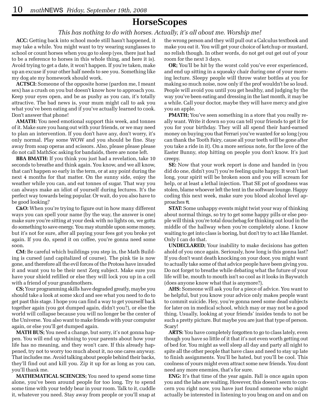### **HorseScopes**

#### *This has nothing to do with horses. Actually, it's all about me. Worship me!*

**ACC:** Getting back into school mode still hasn't happened, it may take a while. You might want to try wearing sunglasses to school or count horses when you go to sleep (yes, there just had to be a reference to horses in this whole thing, and here it is). Avoid trying to get a date, it won't happen. If you're taken, make up an excuse if your other half needs to see you. Something like my dog ate my homework should work.

**ACTSCI:** Someone of the opposite horse (pardon me, I meant sex) has a crush on you but doesn't know how to approach you. Keep your eyes open, and be as pushy as you can, it's totally attractive. The bad news is, your mum might call to ask you what you've been eating and if you've actually learned to cook. Don't answer that phone!

**AMATH:** You need emotional support this week, and tonnes of it. Make sure you hang out with your friends, or we may need to plan an intervention. If you don't have any, don't worry, it's only normal. Play some WOW and you should be fine. Stay away from soap operas and scissors. Also, please please please do not call MathSoc asking for bandaids, there are none left.

**BBA BMATH:** If you think you just had a revelation, take 10 seconds to breathe and think again. You know, and we all know, that can't happen so early in the term, or at any point during the next 4 months for that matter. On the sunny side, enjoy the weather while you can, and eat tonnes of sugar. That way you can always make an idiot of yourself during lectures. It's the perfect way towards being popular. Or wait, do you also have to be good looking?

**C&O:** When you're trying to figure out in how many different ways you can spell your name (by the way, the answer is one) make sure you're sitting at your desk with no lights on, we gotta do something to save energy. You may stumble upon some money, but it's not for sure, after all paying your fees got you broke yet again. If you do, spend it on coffee, you're gonna need some soon.

**CM:** Be careful which buildings you step in, the Math Building is cursed (and capitalized of course). The pink tie is now gone, and therefore all the evil forces of the Protoss have invaded it and want you to be their next Zerg subject. Make sure you have your shield refilled or else they will lock you up in a cell with a friend of your grandmothers.

**CS;** Your programming skills have degraded greatly, maybe you should take a look at some xkcd and see what you need to do to get past this stage. I hope you can find a way to get yourself back together again (you got dumped again, didn't you?), or else the world will collapse because you will no longer be the center of the Universe. You also want to make friends with your computer again, or else you'll get dumped again.

**MATH BUS;** You need a change, but sorry, it's not gonna happen. You will end up whining to your parents about how your life has no meaning, and they won't care. If this already happened, try not to worry too much about it, no one cares anyway. That includes me. Avoid talking about people behind their backs, they'll find out and kill you. Zip it up for as long as you can, you'll thank me.

**MATHEMATICAL SCIENCES;** You need to spend some time alone, you've been around people for too long. Try to spend some time with your teddy bear in your room. Talk to it, cuddle it, whatever you need. Stay away from people or you'll snap at

the wrong person and they will pull out a Calculus textbook and make you eat it. You will get your choice of ketchup or mustard, no relish though. In other words, do not get out get out of your room for the next 3 days.

**OR;** You'll be hit by the worst cold you've ever experienced, and end up sitting in a squeaky chair during one of your morning lecture. Sleepy people will throw water bottles at you for making so much noise, now only if the prof wouldn't be so loud. People will avoid you until you get healthy, and judging by the way you've been eating and dressing in the last month, it may be a while. Call your doctor, maybe they will have mercy and give you an apple.

**PMATH;** You've seen something in a store that you really really want. Write it down so you can tell your friends to get it for you for your birthday. They will all spend their hard-earned money on buying you that Ferrari you've wanted for so long (you can thank the Tooth Fairy, cause all your teeth will be gone after you take a ride in it). On a more serious note, for the love of the Easter Bunny, stop hitting on people you don't know. It's just creepy.

**SE:** Now that your work report is done and handed in (you did do one, didn't you?) you're feeling quite happy. It won't last long, your spirit will be broken soon and you will scream for help, or at least a lethal injection. That SE pot of goodness was stolen, blame whoever left the tent in the software lounge. Happy coding this next week, make sure you blood alcohol level approaches π.

**STAT:** Some unhappy events might twist your way of thinking about normal things, so try to get some happy pills or else people will think you're total douchebag for thinking out loud in the middle of the hallway when you're completely alone. I know waiting to get into class is boring, but don't try to act like Hamlet. Only I can do that.

**UNDECLARED;** Your inability to make decisions has gotten ahold of you once again. Seriously, how long is this gonna last? If you don't want death knocking on your door, you might want to actually take some of that advice people have been giving you. Do not forget to breathe while debating what the future of your life will be, mouth to mouth isn't so cool as it looks in Baywatch (does anyone know what that is anymore?).

**AHS:** Someone will ask you for a piece of advice. You want to be helpful, but you know your advice only makes people want to commit suicide. Hey, you're gonna need some dead subjects for later on in medical school, which may or may not be a good thing. Usually, looking at your friends' insides tends to not be such a pretty picture. But maybe you are just that type of person. Scary!

**ARTS:** You have completely forgotten to go to class lately, even though you have so little of it that it's not even worth getting out of bed for. You might as well sleep all day and party all night to spite all the other people that have class and need to stay up late to finish assignments. You'll be hated, but you'll be cool. This coolness of yours might even attract some new friends. You dont need any more enemies, that's for sure.

**ENG:** It's that time of the year again. Fall is once again upon you and the labs are waiting. However, this doesn't seem to concern you right now, you have just found someone who might actually be interested in listening to you brag on and on and on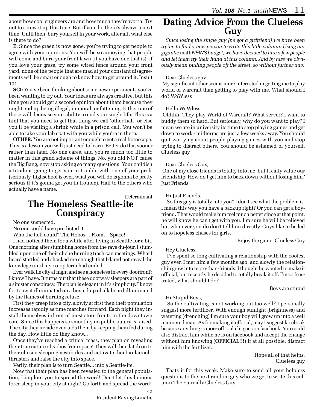about how cool engineers are and how much they're worth. Try not to screw it up this time. But if you do, there's always a next time. Until then, bury yourself in your work, after all, what else is there to do?

**E:** Since the green is now gone, you're trying to get people to agree with your opinions. You will be so annoying that people will come and burn your front lawn (if you have one that is). If you love your grass, try some wired fence around your front yard, none of the people that are mad at your constant disagreements will be smart enough to know how to get around it. Insult 101.

**SCI:** You've been thinking about some new experiments you've been wanting to try out. Your ideas are always creative, but this time you should get a second opinion about them because they might end up being illegal, immoral, or fattening. Either one of those will decrease your ability to end your single life. This is a hint that you need to get that thing we call 'other half' or else you'll be visiting a shrink while in a prison cell. You won't be able to take your lab coat with you while you're in there.

**OTHER:** You are not important enough to get a real horoscope. This is a lesson you will just need to learn. Better do that sooner rather than later. No one cares, and you're much too little to matter in this grand scheme of things. No, you did NOT cause the Big Bang, now stop asking so many questions! Your childish attitude is going to get you in trouble with one of your profs (seriously, highschool is over, what you will do is gonna be pretty serious if it's gonna get you in trouble). Hail to the others who actually have a name.

#### Determinant

### **The Homeless Seattle-ite Conspiracy**

No one suspected.

No one could have predicted it.

Who the hell could? The Hobos… From… Space!

I had noticed them for a while after living in Seattle for a bit. One morning after stumbling home from the rave du-jour, I stumbled upon one of their cliche burning trash can meetings. What I heard startled and shocked me enough that I dared not reveal the knowlege until my co-op term had ended.

Ever walk tle city at night and see a homeless in every doorfront? I know I have. It turns out that these doorway sleepers are part of a sinister conspiracy. The plan is elegant in it's simplicity. I know for I saw it illuminated on a busted up chalk board illuminated by the flames of burning refuse.

First they creep into a city, slowly at first then their population increases rapidly as time marches forward. Each night they install themselves infront of most store fronts in the downtown core. Since this happens so smoothly no public outcry is raised. The city they invade even aids them by keeping them fed during the day. How little do they know...

Once they've reached a critical mass, they plan on revealing their true nature of Robos from space! They will then latch on to their chosen sleeping vestibules and actuvate thei bio-launchthrusters and raise the city into space.

Verily, their plan is to turn Seattle... into a Seattle-ite.

Now that their plan has been revealed to the general population, I implore you to spread the word! Don't let this heinous force sleep in your city at night! Go forth and spread the word!

#### **Dating Advice From the Clueless Guy**

*Since losing the single guy (he got a girlfriend) we have been trying to find a new person to write this little column. Using our gigantic* math*NEWS budget, we have decided to hire a few people and let them try their hand at this column. And by hire we obviously mean pulling people off the street, so without further ado:*

#### Dear Clueless guy:

 My significant other seems more interested in getting me to play world of warcraft than getting to play with me. What should I do? WoWless

#### Hello WoWless:

 Ohhhh, They play World of Warcraft? What server? I want to buddy them so hard. But seriously, why do you want to play? I mean we are in university its time to stop playing games and get down to work - midterms are just a few weeks away. You should quit worrying about people playing games with you and stop trying to distract others. You should be ashamed of yourself, Clueless guy

#### Dear Clueless Guy,

 One of my close friends is totally into me, but I really value our friendship. How do I get him to back down without losing him? Just Friends

#### Hi Just Friends,

 So this guy is totally into you? I don't see what the problem is. I mean this way you have a backup right? Or you can get a boyfriend. That would make him feel much better since at that point, he will know he can't get with you. I'm sure he will be relieved but whatever you do don't tell him directly. Guys like to be led on to hopeless chases for girls.

Enjoy the game, Clueless Guy

#### Hey Clueless,

 I've spent so long cultivating a relationship with the coolest guy ever. I met him a few months ago, and slowly the relationship grew into more-than-friends. I thought he wanted to make it official, but recently he decided to totally break it off. I'm so frustrated, what should I do?

#### Boys are stupid

#### Hi Stupid Boys,

 So the cultivating is not working out too well? I personally suggest more fertilizer. With enough sunlight (brightness) and watering (drenching) I'm sure your boy will grow up into a well mannered man. As for making it official, may I suggest facebook because anything is more official if it goes on facebook. You could also distract him while he is on facebook and accept the change without him knowing (**OFFICIAL!!!**) If at all possible, distract him with the fertilizer.

> Hope all of that helps, Clueless guy

Thats it for this week. Make sure to send all your helpless questions to the next random guy who we get to write this column The Eternally Clueless Guy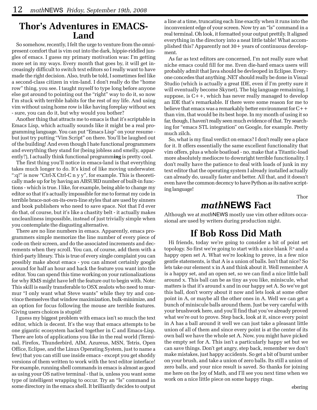#### **Thor's Adventures in EMACS-Land**

So somehow, recently, I felt the urge to venture from the omnipresent comfort that is vim out into the dark, hippie-riddled jungles of emacs. I guess my primary motivation was: I'm getting more set in my ways. Every month that goes by, it will get increasingly difficult to switch text editors so I really want to have made the right decision. Also, truth be told, I sometimes feel like a second-class citizen in vim-land. I don't really do the "home row" thing, you see. I taught myself to type long before anyone else got around to pointing out the "right" way to do it, so now I'm stuck with terrible habits for the rest of my life. And using vim without using home row is like having foreplay without sex - sure, you can do it, but why would you bother?

Another thing that attracts me to emacs is that it's scriptable in Emacs Lisp, which actually sounds like it might be a real programming language. You can put "Emacs Lisp" on your resume but just try putting "Vim Script" on there. You'll be laughed out of the building! And even though I hate functional programmers and everything they stand for (being jobless and smelly, apparently?), I actually think functional programm**ing** is pretty cool.

The first thing you'll notice in emacs-land is that everything takes much longer to do. It's kind of like moving underwater. ":q!" is now "Ctrl-X Ctrl-C n y y", for example. This is theoretically made up for by having an ABSURD number of built-in functions - which is true. I like, for example, being able to change my editor so that it's actually impossible for me to format my code in terrible brace-not-on-its-own-line styles that are used by sinners and book publishers who need to save space. Not that I'd ever do that, of course, but it's like a chastity belt - it actually makes uncleanliness impossible, instead of just trivially simple when you contemplate the disgusting alternative.

There are no line numbers in emacs. Apparently, emacs programmers simple memorize the line number of every piece of code on their screen, and do the associated increments and decrements when they scroll. You can, of course, add them with a third-party library. This is true of every single complaint you can possibly make about emacs - you can almost certainly google around for half an hour and hack the feature you want into the editor. You can spend this time working on your rationalizations for why RMS might have left the feature out to begin with. Note: This skill is easily transferable to OSX zealots who need to murmur "I only want what Steve wants" while they try and convince themselves that window maximization, bulk-minimize, and an option for focus following the mouse are terrible features. Giving users choices is stupid!

I guess my biggest problem with emacs isn't so much the text editor, which is decent. It's the way that emacs attempts to be one gigantic ecosystem hacked together in C and Emacs-Lisp. There are lots of applications you like in the real world (Terminal, Firefox, Thunderbird, AIM, Azureus, MSN, Tetris, Open Office, Eclipse, and the Linux Operating System, just to name a few) that you can still use inside emacs - except you get shoddy versions of them written to work with the text editor interface! For example, running shell commands in emacs is almost as good as using your OS native terminal - that is, unless you want some type of intelligent wrapping to occur. Try an "ls" command in some directory in the emacs shell. It brilliantly decides to output

a line at a time, truncating each line exactly when it runs into the inconvenient edge of your screen. Now try an "ls" command in a real terminal. Oh look, it formatted your output prettily. It aligned everything in the directory into a neat little table! What accomplished this? Apparently not 30+ years of continuous development.

As far as text editors are concerned, I'm not really sure what niche emacs could fill for me. Even die-hard emacs users will probably admit that Java should be devleoped in Eclipse. Everyone concedes that anything .NET should really be done in Visual Studio (which is actually a great IDE, even if I'm pretty sure it will eventually become Skynet). The big language remaining, I suppose, is  $C_{+}$ , which has never really managed to develop an IDE that's remarkable. If there were some reason for me to believe that emacs was a remarkably better environment for C++ than vim, that would be its best hope. In my month of using it so far, though, I haven't really seen much evidence of that. Try searching for "emacs STL integration" on Google, for example. Pretty much zilch.

So, what is my final verdict on emacs? I don't really see a place for it. It offers essentially the same excellent functionality that vim offers, plus a whole boatload - no, make that a Titantic-load more absolutely mediocre to downright terrible functionality. I don't really have the patience to deal with loads of junk in my text editor that the operating system I already installed actually can already do, usually faster and better. All that, and it doesn't even have the common decency to have Python as its native scripting language!

Thor

#### *math***NEWS Fact**

Although we at *math*NEWS mostly use vim other editors occasional are used by writers during production night.

### **If Bob Ross Did Math**

Hi friends, today we're going to consider a bit of point set topology. So first we're going to start with a nice blank  $\mathbb{R}^n$  and a happy open set A. What we're looking to prove, in a few nice gentle statements, is that A is a union of balls. Isn't that nice? So lets take our element x in A and think about it. Well remember A is a happy set, and an open set, so we can find a nice little ball around x. This ball can be as tiny as you like, miniscule, what matters is that it's around x and in our happy set A. So we've got this ball, don't worry about it now and lets look at some other point in A, or maybe all the other ones in A. Well we can get a bunch of miniscule balls around them. Just be very careful with your brushwork here, and you'll find that you've already proved what we're out to prove. Step back, look at it, since every point in A has a ball around it well we can just take a pleasant little union of all of them and since every point is at the center of its own ball we have the whole set A. Now, you might have picked the empty set for A. This isn't a particularly happy set but we can save things. Don't get angry, step back, remember we don't make mistakes, just happy accidents. So get a bit of burnt umber on your brush, and take a union of zero balls. Its still a union of zero balls, and your nice result is saved. So thanks for joining me here on the Joy of Math, and I'll see you next time when we work on a nice little piece on some happy rings.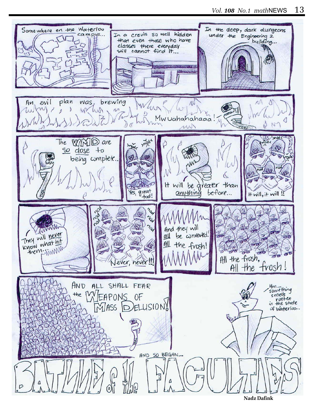

**Nadz Dafink**